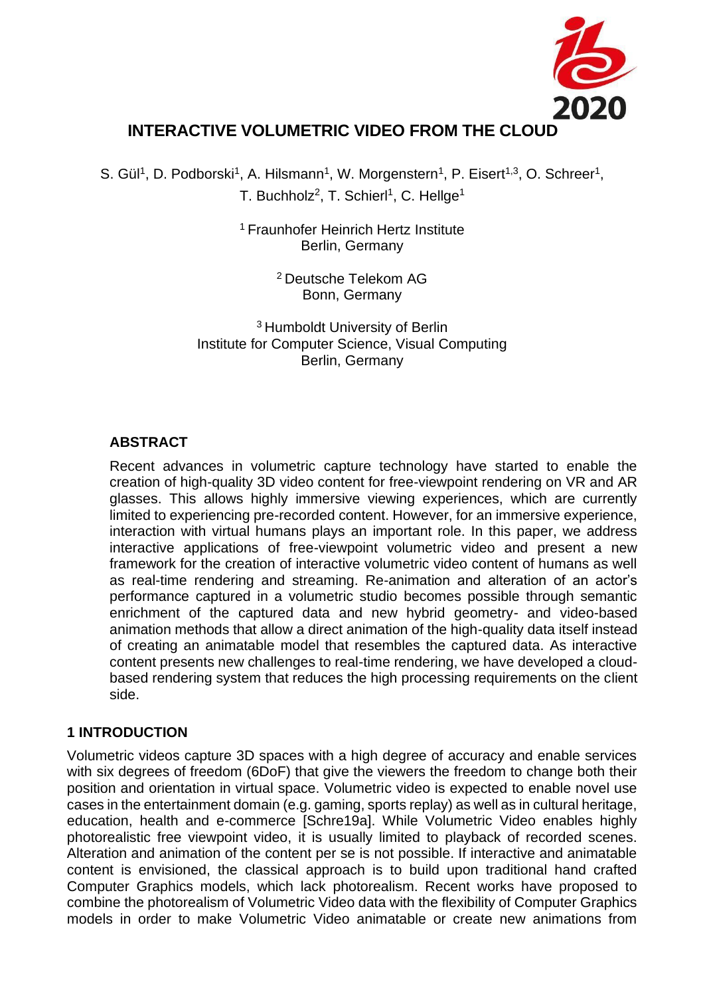

# **INTERACTIVE VOLUMETRIC VIDEO FROM THE CLOUD**

S. Gül<sup>1</sup>, D. Podborski<sup>1</sup>, A. Hilsmann<sup>1</sup>, W. Morgenstern<sup>1</sup>, P. Eisert<sup>1,3</sup>, O. Schreer<sup>1</sup>, T. Buchholz<sup>2</sup>, T. Schierl<sup>1</sup>, C. Hellge<sup>1</sup>

> <sup>1</sup> Fraunhofer Heinrich Hertz Institute Berlin, Germany

> > <sup>2</sup>Deutsche Telekom AG Bonn, Germany

<sup>3</sup> Humboldt University of Berlin Institute for Computer Science, Visual Computing Berlin, Germany

### **ABSTRACT**

Recent advances in volumetric capture technology have started to enable the creation of high-quality 3D video content for free-viewpoint rendering on VR and AR glasses. This allows highly immersive viewing experiences, which are currently limited to experiencing pre-recorded content. However, for an immersive experience, interaction with virtual humans plays an important role. In this paper, we address interactive applications of free-viewpoint volumetric video and present a new framework for the creation of interactive volumetric video content of humans as well as real-time rendering and streaming. Re-animation and alteration of an actor's performance captured in a volumetric studio becomes possible through semantic enrichment of the captured data and new hybrid geometry- and video-based animation methods that allow a direct animation of the high-quality data itself instead of creating an animatable model that resembles the captured data. As interactive content presents new challenges to real-time rendering, we have developed a cloudbased rendering system that reduces the high processing requirements on the client side.

#### **1 INTRODUCTION**

Volumetric videos capture 3D spaces with a high degree of accuracy and enable services with six degrees of freedom (6DoF) that give the viewers the freedom to change both their position and orientation in virtual space. Volumetric video is expected to enable novel use cases in the entertainment domain (e.g. gaming, sports replay) as well as in cultural heritage, education, health and e-commerce [Schre19a]. While Volumetric Video enables highly photorealistic free viewpoint video, it is usually limited to playback of recorded scenes. Alteration and animation of the content per se is not possible. If interactive and animatable content is envisioned, the classical approach is to build upon traditional hand crafted Computer Graphics models, which lack photorealism. Recent works have proposed to combine the photorealism of Volumetric Video data with the flexibility of Computer Graphics models in order to make Volumetric Video animatable or create new animations from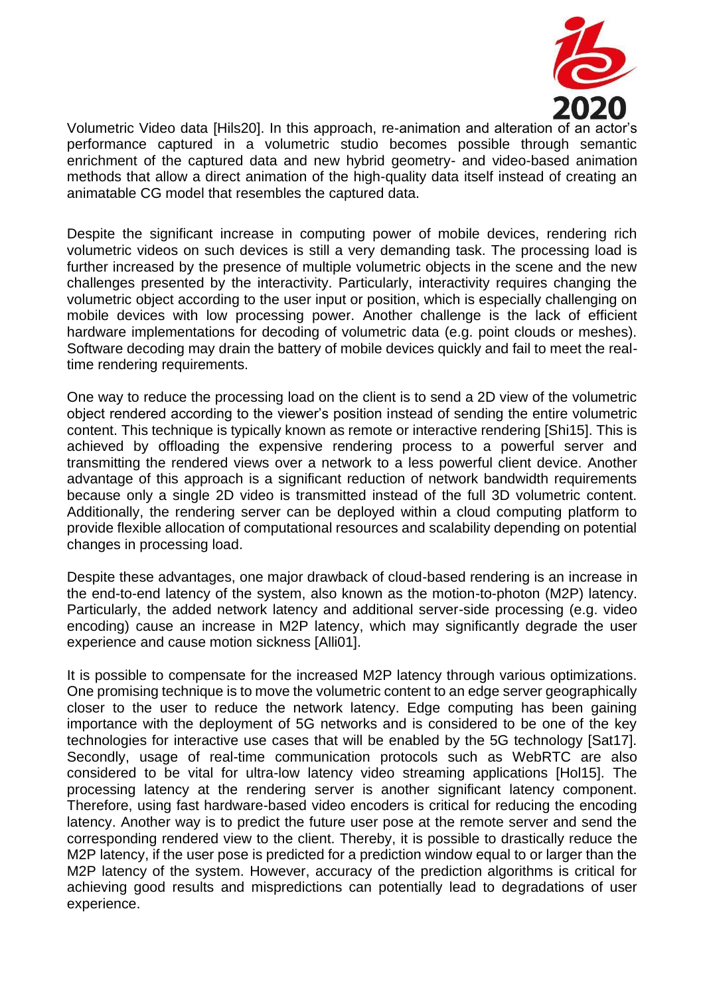

Volumetric Video data [Hils20]. In this approach, re-animation and alteration of an actor's performance captured in a volumetric studio becomes possible through semantic enrichment of the captured data and new hybrid geometry- and video-based animation methods that allow a direct animation of the high-quality data itself instead of creating an animatable CG model that resembles the captured data.

Despite the significant increase in computing power of mobile devices, rendering rich volumetric videos on such devices is still a very demanding task. The processing load is further increased by the presence of multiple volumetric objects in the scene and the new challenges presented by the interactivity. Particularly, interactivity requires changing the volumetric object according to the user input or position, which is especially challenging on mobile devices with low processing power. Another challenge is the lack of efficient hardware implementations for decoding of volumetric data (e.g. point clouds or meshes). Software decoding may drain the battery of mobile devices quickly and fail to meet the realtime rendering requirements.

One way to reduce the processing load on the client is to send a 2D view of the volumetric object rendered according to the viewer's position instead of sending the entire volumetric content. This technique is typically known as remote or interactive rendering [Shi15]. This is achieved by offloading the expensive rendering process to a powerful server and transmitting the rendered views over a network to a less powerful client device. Another advantage of this approach is a significant reduction of network bandwidth requirements because only a single 2D video is transmitted instead of the full 3D volumetric content. Additionally, the rendering server can be deployed within a cloud computing platform to provide flexible allocation of computational resources and scalability depending on potential changes in processing load.

Despite these advantages, one major drawback of cloud-based rendering is an increase in the end-to-end latency of the system, also known as the motion-to-photon (M2P) latency. Particularly, the added network latency and additional server-side processing (e.g. video encoding) cause an increase in M2P latency, which may significantly degrade the user experience and cause motion sickness [Alli01].

It is possible to compensate for the increased M2P latency through various optimizations. One promising technique is to move the volumetric content to an edge server geographically closer to the user to reduce the network latency. Edge computing has been gaining importance with the deployment of 5G networks and is considered to be one of the key technologies for interactive use cases that will be enabled by the 5G technology [Sat17]. Secondly, usage of real-time communication protocols such as WebRTC are also considered to be vital for ultra-low latency video streaming applications [Hol15]. The processing latency at the rendering server is another significant latency component. Therefore, using fast hardware-based video encoders is critical for reducing the encoding latency. Another way is to predict the future user pose at the remote server and send the corresponding rendered view to the client. Thereby, it is possible to drastically reduce the M2P latency, if the user pose is predicted for a prediction window equal to or larger than the M2P latency of the system. However, accuracy of the prediction algorithms is critical for achieving good results and mispredictions can potentially lead to degradations of user experience.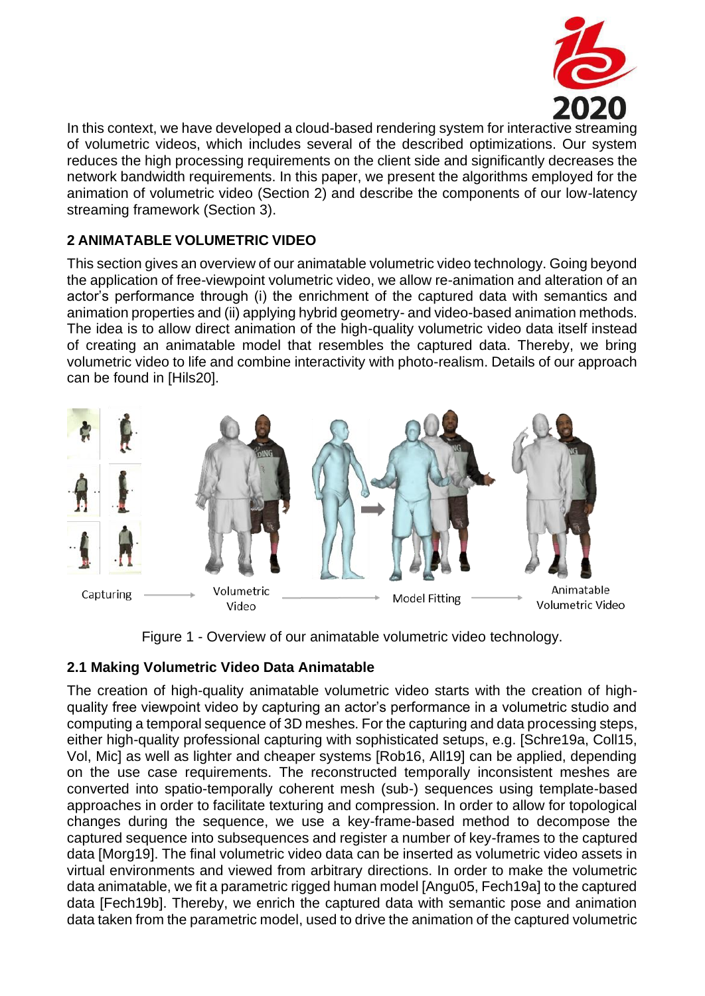

In this context, we have developed a cloud-based rendering system for interactive streaming of volumetric videos, which includes several of the described optimizations. Our system reduces the high processing requirements on the client side and significantly decreases the network bandwidth requirements. In this paper, we present the algorithms employed for the animation of volumetric video (Section 2) and describe the components of our low-latency streaming framework (Section 3).

## **2 ANIMATABLE VOLUMETRIC VIDEO**

This section gives an overview of our animatable volumetric video technology. Going beyond the application of free-viewpoint volumetric video, we allow re-animation and alteration of an actor's performance through (i) the enrichment of the captured data with semantics and animation properties and (ii) applying hybrid geometry- and video-based animation methods. The idea is to allow direct animation of the high-quality volumetric video data itself instead of creating an animatable model that resembles the captured data. Thereby, we bring volumetric video to life and combine interactivity with photo-realism. Details of our approach can be found in [Hils20].



Figure 1 - Overview of our animatable volumetric video technology.

## **2.1 Making Volumetric Video Data Animatable**

The creation of high-quality animatable volumetric video starts with the creation of highquality free viewpoint video by capturing an actor's performance in a volumetric studio and computing a temporal sequence of 3D meshes. For the capturing and data processing steps, either high-quality professional capturing with sophisticated setups, e.g. [Schre19a, Coll15, Vol, Mic] as well as lighter and cheaper systems [Rob16, All19] can be applied, depending on the use case requirements. The reconstructed temporally inconsistent meshes are converted into spatio-temporally coherent mesh (sub-) sequences using template-based approaches in order to facilitate texturing and compression. In order to allow for topological changes during the sequence, we use a key-frame-based method to decompose the captured sequence into subsequences and register a number of key-frames to the captured data [Morg19]. The final volumetric video data can be inserted as volumetric video assets in virtual environments and viewed from arbitrary directions. In order to make the volumetric data animatable, we fit a parametric rigged human model [Angu05, Fech19a] to the captured data [Fech19b]. Thereby, we enrich the captured data with semantic pose and animation data taken from the parametric model, used to drive the animation of the captured volumetric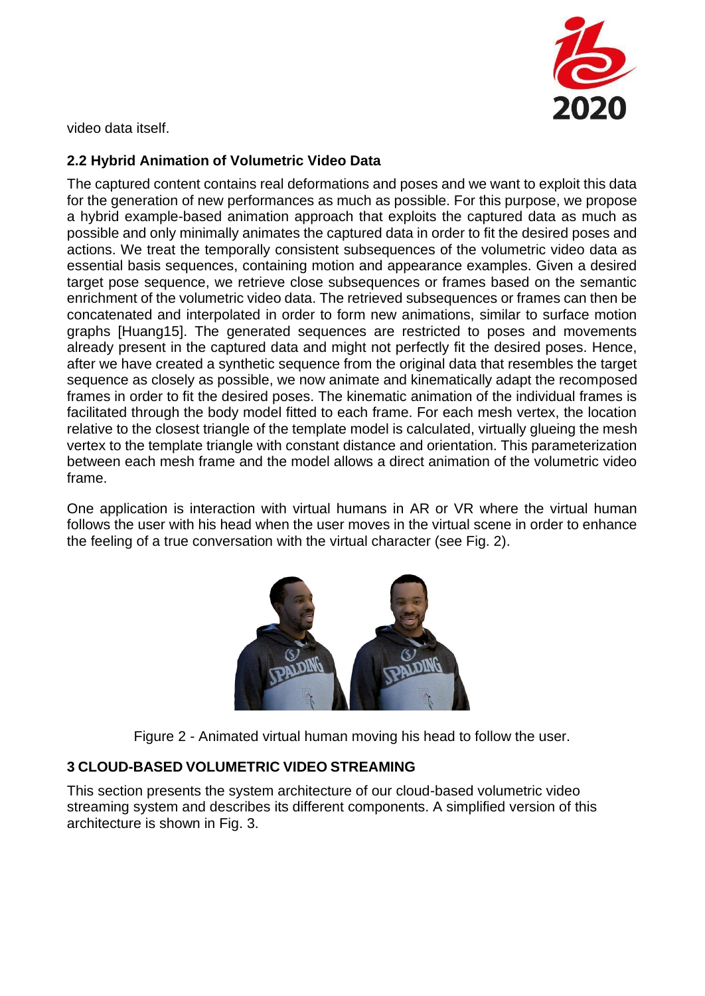

video data itself.

## **2.2 Hybrid Animation of Volumetric Video Data**

The captured content contains real deformations and poses and we want to exploit this data for the generation of new performances as much as possible. For this purpose, we propose a hybrid example-based animation approach that exploits the captured data as much as possible and only minimally animates the captured data in order to fit the desired poses and actions. We treat the temporally consistent subsequences of the volumetric video data as essential basis sequences, containing motion and appearance examples. Given a desired target pose sequence, we retrieve close subsequences or frames based on the semantic enrichment of the volumetric video data. The retrieved subsequences or frames can then be concatenated and interpolated in order to form new animations, similar to surface motion graphs [Huang15]. The generated sequences are restricted to poses and movements already present in the captured data and might not perfectly fit the desired poses. Hence, after we have created a synthetic sequence from the original data that resembles the target sequence as closely as possible, we now animate and kinematically adapt the recomposed frames in order to fit the desired poses. The kinematic animation of the individual frames is facilitated through the body model fitted to each frame. For each mesh vertex, the location relative to the closest triangle of the template model is calculated, virtually glueing the mesh vertex to the template triangle with constant distance and orientation. This parameterization between each mesh frame and the model allows a direct animation of the volumetric video frame.

One application is interaction with virtual humans in AR or VR where the virtual human follows the user with his head when the user moves in the virtual scene in order to enhance the feeling of a true conversation with the virtual character (see Fig. 2).



Figure 2 - Animated virtual human moving his head to follow the user.

## **3 CLOUD-BASED VOLUMETRIC VIDEO STREAMING**

This section presents the system architecture of our cloud-based volumetric video streaming system and describes its different components. A simplified version of this architecture is shown in Fig. 3.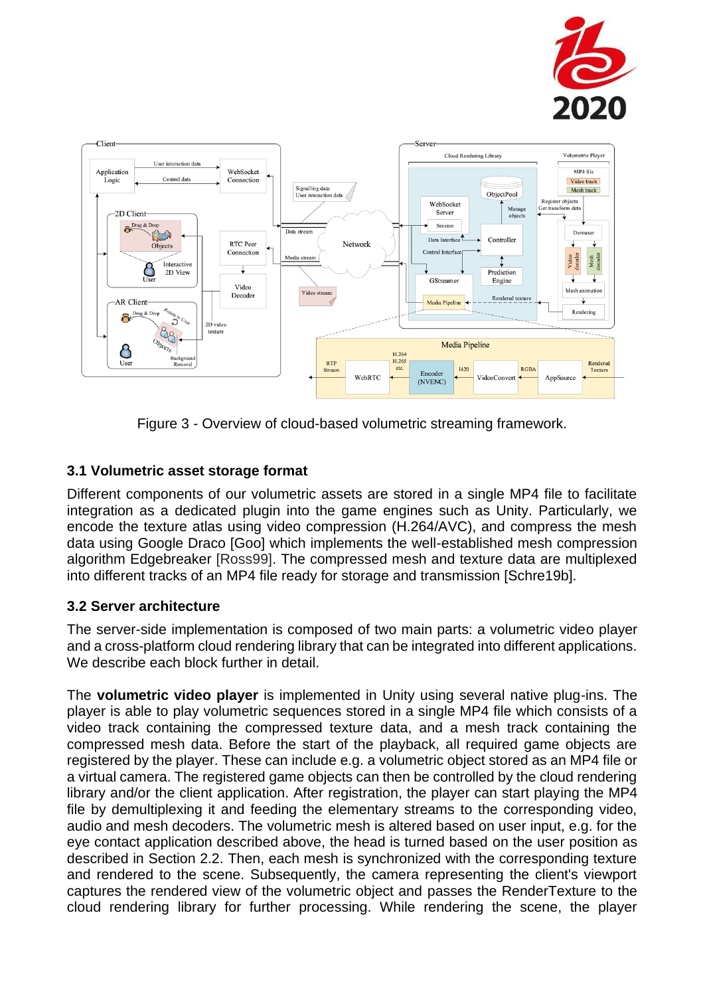



Figure 3 - Overview of cloud-based volumetric streaming framework.

### **3.1 Volumetric asset storage format**

Different components of our volumetric assets are stored in a single MP4 file to facilitate integration as a dedicated plugin into the game engines such as Unity. Particularly, we encode the texture atlas using video compression (H.264/AVC), and compress the mesh data using Google Draco [Goo] which implements the well-established mesh compression algorithm Edgebreaker [Ross99]. The compressed mesh and texture data are multiplexed into different tracks of an MP4 file ready for storage and transmission [Schre19b].

### **3.2 Server architecture**

The server-side implementation is composed of two main parts: a volumetric video player and a cross-platform cloud rendering library that can be integrated into different applications. We describe each block further in detail.

The **volumetric video player** is implemented in Unity using several native plug-ins. The player is able to play volumetric sequences stored in a single MP4 file which consists of a video track containing the compressed texture data, and a mesh track containing the compressed mesh data. Before the start of the playback, all required game objects are registered by the player. These can include e.g. a volumetric object stored as an MP4 file or a virtual camera. The registered game objects can then be controlled by the cloud rendering library and/or the client application. After registration, the player can start playing the MP4 file by demultiplexing it and feeding the elementary streams to the corresponding video, audio and mesh decoders. The volumetric mesh is altered based on user input, e.g. for the eye contact application described above, the head is turned based on the user position as described in Section 2.2. Then, each mesh is synchronized with the corresponding texture and rendered to the scene. Subsequently, the camera representing the client's viewport captures the rendered view of the volumetric object and passes the RenderTexture to the cloud rendering library for further processing. While rendering the scene, the player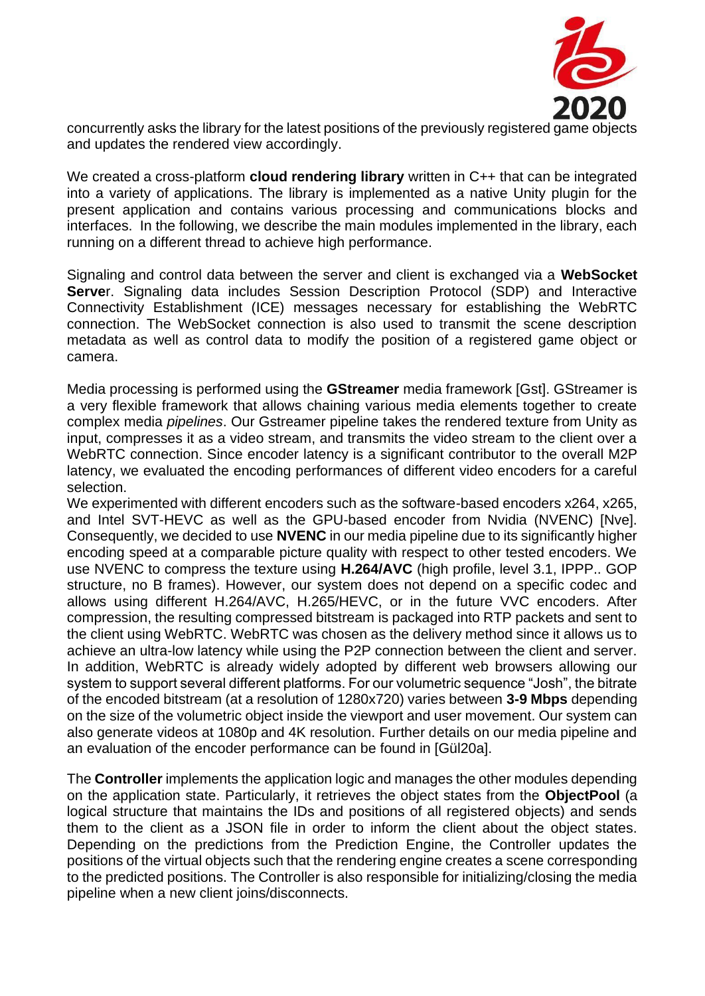

concurrently asks the library for the latest positions of the previously registered game objects and updates the rendered view accordingly.

We created a cross-platform **cloud rendering library** written in C++ that can be integrated into a variety of applications. The library is implemented as a native Unity plugin for the present application and contains various processing and communications blocks and interfaces. In the following, we describe the main modules implemented in the library, each running on a different thread to achieve high performance.

Signaling and control data between the server and client is exchanged via a **WebSocket Serve**r. Signaling data includes Session Description Protocol (SDP) and Interactive Connectivity Establishment (ICE) messages necessary for establishing the WebRTC connection. The WebSocket connection is also used to transmit the scene description metadata as well as control data to modify the position of a registered game object or camera.

Media processing is performed using the **GStreamer** media framework [Gst]. GStreamer is a very flexible framework that allows chaining various media elements together to create complex media *pipelines*. Our Gstreamer pipeline takes the rendered texture from Unity as input, compresses it as a video stream, and transmits the video stream to the client over a WebRTC connection. Since encoder latency is a significant contributor to the overall M2P latency, we evaluated the encoding performances of different video encoders for a careful selection.

We experimented with different encoders such as the software-based encoders x264, x265, and Intel SVT-HEVC as well as the GPU-based encoder from Nvidia (NVENC) [Nve]. Consequently, we decided to use **NVENC** in our media pipeline due to its significantly higher encoding speed at a comparable picture quality with respect to other tested encoders. We use NVENC to compress the texture using **H.264/AVC** (high profile, level 3.1, IPPP.. GOP structure, no B frames). However, our system does not depend on a specific codec and allows using different H.264/AVC, H.265/HEVC, or in the future VVC encoders. After compression, the resulting compressed bitstream is packaged into RTP packets and sent to the client using WebRTC. WebRTC was chosen as the delivery method since it allows us to achieve an ultra-low latency while using the P2P connection between the client and server. In addition, WebRTC is already widely adopted by different web browsers allowing our system to support several different platforms. For our volumetric sequence "Josh", the bitrate of the encoded bitstream (at a resolution of 1280x720) varies between **3-9 Mbps** depending on the size of the volumetric object inside the viewport and user movement. Our system can also generate videos at 1080p and 4K resolution. Further details on our media pipeline and an evaluation of the encoder performance can be found in [Gül20a].

The **Controller** implements the application logic and manages the other modules depending on the application state. Particularly, it retrieves the object states from the **ObjectPool** (a logical structure that maintains the IDs and positions of all registered objects) and sends them to the client as a JSON file in order to inform the client about the object states. Depending on the predictions from the Prediction Engine, the Controller updates the positions of the virtual objects such that the rendering engine creates a scene corresponding to the predicted positions. The Controller is also responsible for initializing/closing the media pipeline when a new client joins/disconnects.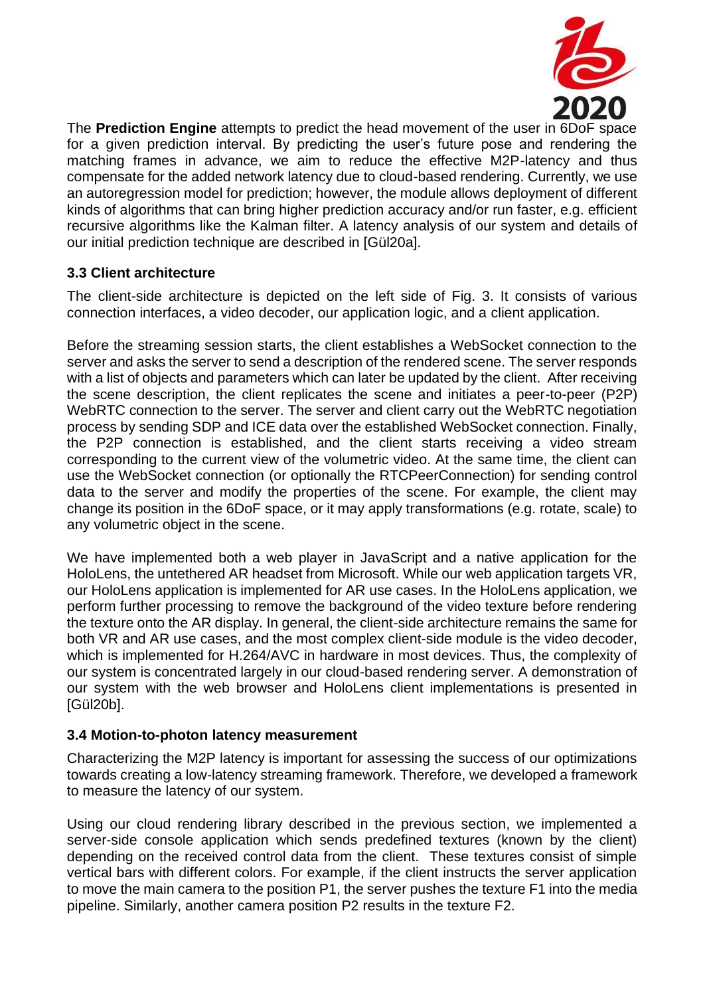

The **Prediction Engine** attempts to predict the head movement of the user in 6DoF space for a given prediction interval. By predicting the user's future pose and rendering the matching frames in advance, we aim to reduce the effective M2P-latency and thus compensate for the added network latency due to cloud-based rendering. Currently, we use an autoregression model for prediction; however, the module allows deployment of different kinds of algorithms that can bring higher prediction accuracy and/or run faster, e.g. efficient recursive algorithms like the Kalman filter. A latency analysis of our system and details of our initial prediction technique are described in [Gül20a].

### **3.3 Client architecture**

The client-side architecture is depicted on the left side of Fig. 3. It consists of various connection interfaces, a video decoder, our application logic, and a client application.

Before the streaming session starts, the client establishes a WebSocket connection to the server and asks the server to send a description of the rendered scene. The server responds with a list of objects and parameters which can later be updated by the client. After receiving the scene description, the client replicates the scene and initiates a peer-to-peer (P2P) WebRTC connection to the server. The server and client carry out the WebRTC negotiation process by sending SDP and ICE data over the established WebSocket connection. Finally, the P2P connection is established, and the client starts receiving a video stream corresponding to the current view of the volumetric video. At the same time, the client can use the WebSocket connection (or optionally the RTCPeerConnection) for sending control data to the server and modify the properties of the scene. For example, the client may change its position in the 6DoF space, or it may apply transformations (e.g. rotate, scale) to any volumetric object in the scene.

We have implemented both a web player in JavaScript and a native application for the HoloLens, the untethered AR headset from Microsoft. While our web application targets VR, our HoloLens application is implemented for AR use cases. In the HoloLens application, we perform further processing to remove the background of the video texture before rendering the texture onto the AR display. In general, the client-side architecture remains the same for both VR and AR use cases, and the most complex client-side module is the video decoder, which is implemented for H.264/AVC in hardware in most devices. Thus, the complexity of our system is concentrated largely in our cloud-based rendering server. A demonstration of our system with the web browser and HoloLens client implementations is presented in [Gül20b].

### **3.4 Motion-to-photon latency measurement**

Characterizing the M2P latency is important for assessing the success of our optimizations towards creating a low-latency streaming framework. Therefore, we developed a framework to measure the latency of our system.

Using our cloud rendering library described in the previous section, we implemented a server-side console application which sends predefined textures (known by the client) depending on the received control data from the client. These textures consist of simple vertical bars with different colors. For example, if the client instructs the server application to move the main camera to the position P1, the server pushes the texture F1 into the media pipeline. Similarly, another camera position P2 results in the texture F2.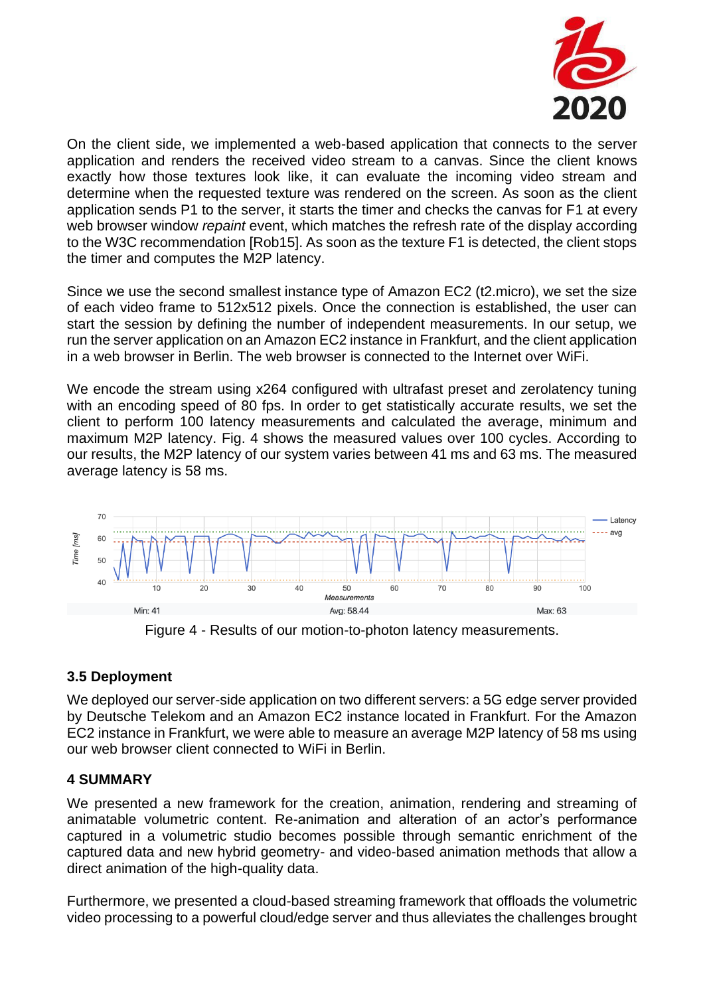

On the client side, we implemented a web-based application that connects to the server application and renders the received video stream to a canvas. Since the client knows exactly how those textures look like, it can evaluate the incoming video stream and determine when the requested texture was rendered on the screen. As soon as the client application sends P1 to the server, it starts the timer and checks the canvas for F1 at every web browser window *repaint* event, which matches the refresh rate of the display according to the W3C recommendation [Rob15]. As soon as the texture F1 is detected, the client stops the timer and computes the M2P latency.

Since we use the second smallest instance type of Amazon EC2 (t2.micro), we set the size of each video frame to 512x512 pixels. Once the connection is established, the user can start the session by defining the number of independent measurements. In our setup, we run the server application on an Amazon EC2 instance in Frankfurt, and the client application in a web browser in Berlin. The web browser is connected to the Internet over WiFi.

We encode the stream using x264 configured with ultrafast preset and zerolatency tuning with an encoding speed of 80 fps. In order to get statistically accurate results, we set the client to perform 100 latency measurements and calculated the average, minimum and maximum M2P latency. Fig. 4 shows the measured values over 100 cycles. According to our results, the M2P latency of our system varies between 41 ms and 63 ms. The measured average latency is 58 ms.



Figure 4 - Results of our motion-to-photon latency measurements.

### **3.5 Deployment**

We deployed our server-side application on two different servers: a 5G edge server provided by Deutsche Telekom and an Amazon EC2 instance located in Frankfurt. For the Amazon EC2 instance in Frankfurt, we were able to measure an average M2P latency of 58 ms using our web browser client connected to WiFi in Berlin.

### **4 SUMMARY**

We presented a new framework for the creation, animation, rendering and streaming of animatable volumetric content. Re-animation and alteration of an actor's performance captured in a volumetric studio becomes possible through semantic enrichment of the captured data and new hybrid geometry- and video-based animation methods that allow a direct animation of the high-quality data.

Furthermore, we presented a cloud-based streaming framework that offloads the volumetric video processing to a powerful cloud/edge server and thus alleviates the challenges brought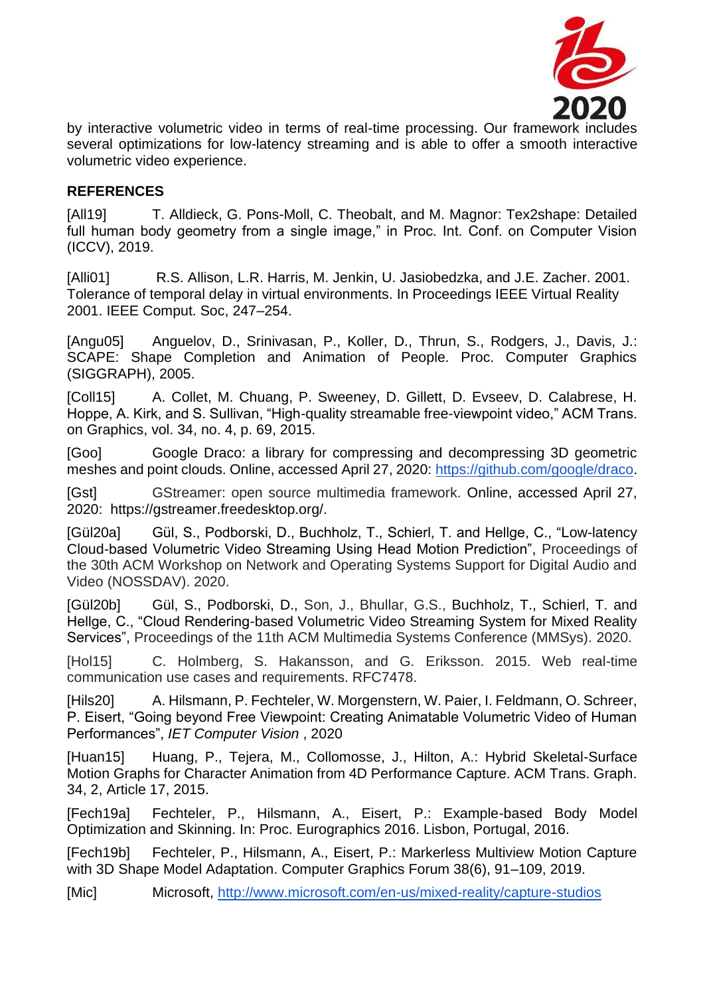

by interactive volumetric video in terms of real-time processing. Our framework includes several optimizations for low-latency streaming and is able to offer a smooth interactive volumetric video experience.

#### **REFERENCES**

[All19] T. Alldieck, G. Pons-Moll, C. Theobalt, and M. Magnor: Tex2shape: Detailed full human body geometry from a single image," in Proc. Int. Conf. on Computer Vision (ICCV), 2019.

[Alli01] R.S. Allison, L.R. Harris, M. Jenkin, U. Jasiobedzka, and J.E. Zacher. 2001. Tolerance of temporal delay in virtual environments. In Proceedings IEEE Virtual Reality 2001. IEEE Comput. Soc, 247–254.

[Angu05] Anguelov, D., Srinivasan, P., Koller, D., Thrun, S., Rodgers, J., Davis, J.: SCAPE: Shape Completion and Animation of People. Proc. Computer Graphics (SIGGRAPH), 2005.

[Coll15] A. Collet, M. Chuang, P. Sweeney, D. Gillett, D. Evseev, D. Calabrese, H. Hoppe, A. Kirk, and S. Sullivan, "High-quality streamable free-viewpoint video," ACM Trans. on Graphics, vol. 34, no. 4, p. 69, 2015.

[Goo] Google Draco: a library for compressing and decompressing 3D geometric meshes and point clouds. Online, accessed April 27, 2020: [https://github.com/google/draco.](https://github.com/google/draco)

[Gst] GStreamer: open source multimedia framework. Online, accessed April 27, 2020: https://gstreamer.freedesktop.org/.

[Gül20a] Gül, S., Podborski, D., Buchholz, T., Schierl, T. and Hellge, C., "Low-latency Cloud-based Volumetric Video Streaming Using Head Motion Prediction", Proceedings of the 30th ACM Workshop on Network and Operating Systems Support for Digital Audio and Video (NOSSDAV). 2020.

[Gül20b] Gül, S., Podborski, D., Son, J., Bhullar, G.S., Buchholz, T., Schierl, T. and Hellge, C., "Cloud Rendering-based Volumetric Video Streaming System for Mixed Reality Services", Proceedings of the 11th ACM Multimedia Systems Conference (MMSys). 2020.

[Hol15] C. Holmberg, S. Hakansson, and G. Eriksson. 2015. Web real-time communication use cases and requirements. RFC7478.

[Hils20] A. Hilsmann, P. Fechteler, W. Morgenstern, W. Paier, I. Feldmann, O. Schreer, P. Eisert, "Going beyond Free Viewpoint: Creating Animatable Volumetric Video of Human Performances", *IET Computer Vision* , 2020

[Huan15] Huang, P., Tejera, M., Collomosse, J., Hilton, A.: Hybrid Skeletal-Surface Motion Graphs for Character Animation from 4D Performance Capture. ACM Trans. Graph. 34, 2, Article 17, 2015.

[Fech19a] Fechteler, P., Hilsmann, A., Eisert, P.: Example-based Body Model Optimization and Skinning. In: Proc. Eurographics 2016. Lisbon, Portugal, 2016.

[Fech19b] Fechteler, P., Hilsmann, A., Eisert, P.: Markerless Multiview Motion Capture with 3D Shape Model Adaptation. Computer Graphics Forum 38(6), 91–109, 2019.

[Mic] Microsoft[,](http://www.microsoft.com/en-us/mixed-reality/capture-studios) <http://www.microsoft.com/en-us/mixed-reality/capture-studios>